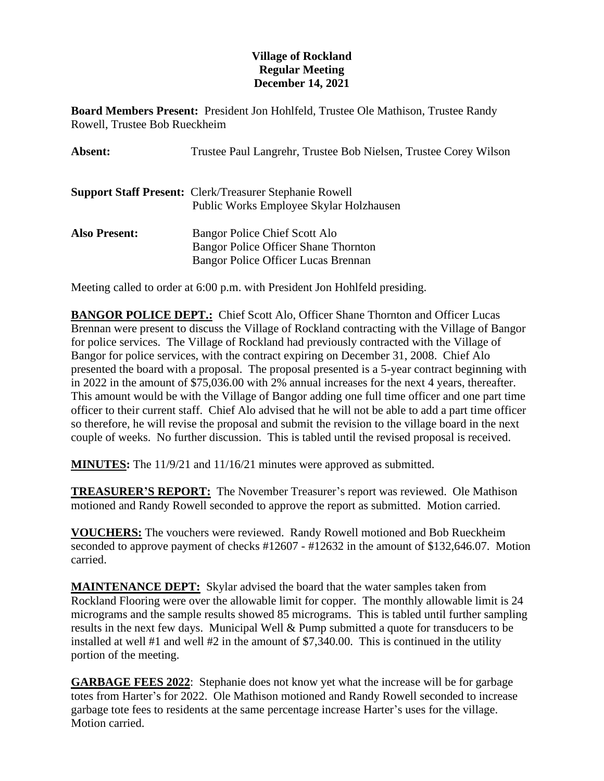## **Village of Rockland Regular Meeting December 14, 2021**

**Board Members Present:** President Jon Hohlfeld, Trustee Ole Mathison, Trustee Randy Rowell, Trustee Bob Rueckheim

| Absent:              | Trustee Paul Langrehr, Trustee Bob Nielsen, Trustee Corey Wilson                                                    |
|----------------------|---------------------------------------------------------------------------------------------------------------------|
|                      | <b>Support Staff Present: Clerk/Treasurer Stephanie Rowell</b><br>Public Works Employee Skylar Holzhausen           |
| <b>Also Present:</b> | Bangor Police Chief Scott Alo<br><b>Bangor Police Officer Shane Thornton</b><br>Bangor Police Officer Lucas Brennan |

Meeting called to order at 6:00 p.m. with President Jon Hohlfeld presiding.

**BANGOR POLICE DEPT.:** Chief Scott Alo, Officer Shane Thornton and Officer Lucas Brennan were present to discuss the Village of Rockland contracting with the Village of Bangor for police services. The Village of Rockland had previously contracted with the Village of Bangor for police services, with the contract expiring on December 31, 2008. Chief Alo presented the board with a proposal. The proposal presented is a 5-year contract beginning with in 2022 in the amount of \$75,036.00 with 2% annual increases for the next 4 years, thereafter. This amount would be with the Village of Bangor adding one full time officer and one part time officer to their current staff. Chief Alo advised that he will not be able to add a part time officer so therefore, he will revise the proposal and submit the revision to the village board in the next couple of weeks. No further discussion. This is tabled until the revised proposal is received.

**MINUTES:** The 11/9/21 and 11/16/21 minutes were approved as submitted.

**TREASURER'S REPORT:** The November Treasurer's report was reviewed. Ole Mathison motioned and Randy Rowell seconded to approve the report as submitted. Motion carried.

**VOUCHERS:** The vouchers were reviewed. Randy Rowell motioned and Bob Rueckheim seconded to approve payment of checks #12607 - #12632 in the amount of \$132,646.07. Motion carried.

**MAINTENANCE DEPT:** Skylar advised the board that the water samples taken from Rockland Flooring were over the allowable limit for copper. The monthly allowable limit is 24 micrograms and the sample results showed 85 micrograms. This is tabled until further sampling results in the next few days. Municipal Well & Pump submitted a quote for transducers to be installed at well #1 and well #2 in the amount of \$7,340.00. This is continued in the utility portion of the meeting.

**GARBAGE FEES 2022**: Stephanie does not know yet what the increase will be for garbage totes from Harter's for 2022. Ole Mathison motioned and Randy Rowell seconded to increase garbage tote fees to residents at the same percentage increase Harter's uses for the village. Motion carried.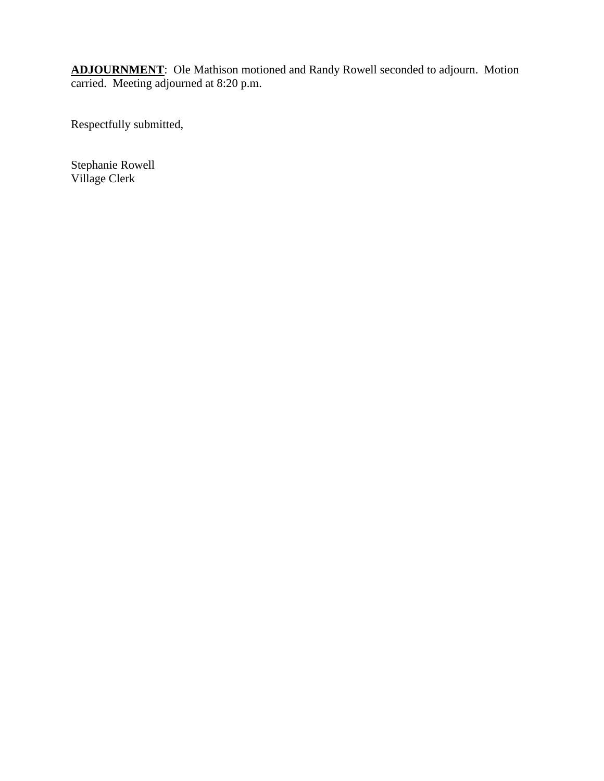**ADJOURNMENT**: Ole Mathison motioned and Randy Rowell seconded to adjourn. Motion carried. Meeting adjourned at 8:20 p.m.

Respectfully submitted,

Stephanie Rowell Village Clerk